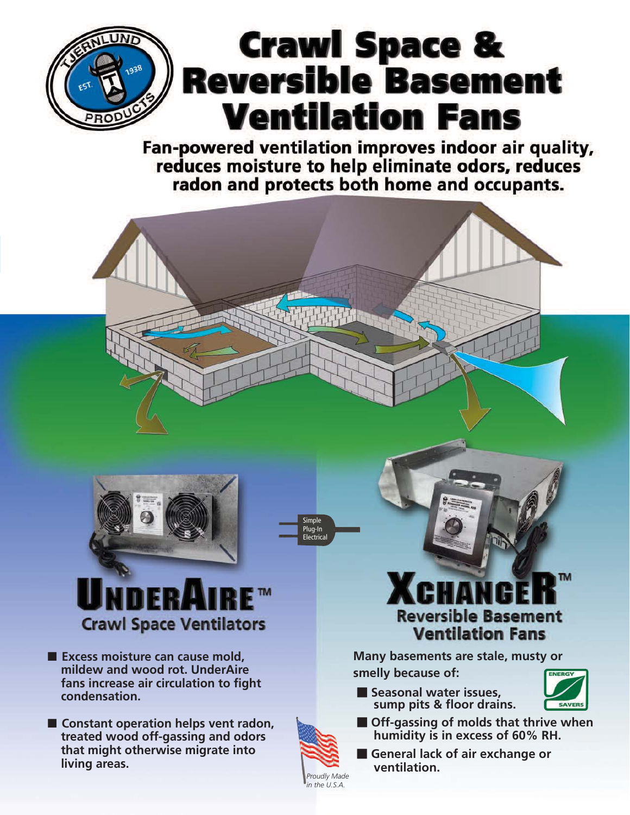

Fan-powered ventilation improves indoor air quality, reduces moisture to help eliminate odors, reduces radon and protects both home and occupants.



Simple Plug-In **Electrical** 

> *Proudly Made in the U.S.A.*



**Crawl Space Ventilators** 

- **Excess moisture can cause mold**, **mildew and wood rot. UnderAire fans increase air circulation to fight condensation.**
- **Constant operation helps vent radon, treated wood off-gassing and odors that might otherwise migrate into living areas.**

# TM **Reversible Basement Ventilation Fans**

**Many basements are stale, musty or smelly because of:**

- **Seasonal water issues, sump pits & floor drains.**



- $\blacksquare$  **Off-gassing of molds that thrive when humidity is in excess of 60% RH.**
- **E** General lack of air exchange or **ventilation.**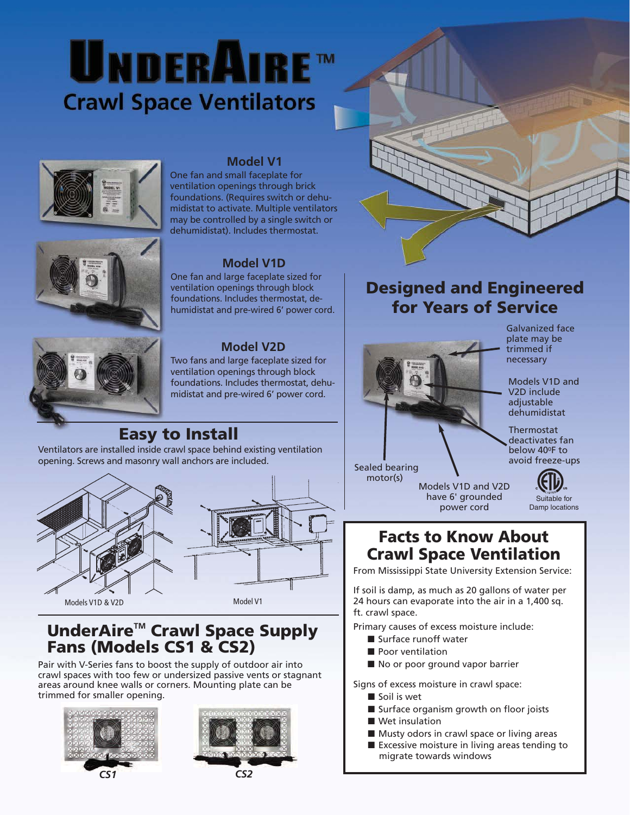# UNDERAIRE™ **Crawl Space Ventilators**



#### **Model V1**

One fan and small faceplate for ventilation openings through brick foundations. (Requires switch or dehumidistat to activate. Multiple ventilators may be controlled by a single switch or dehumidistat). Includes thermostat.

#### **Model V1D**

One fan and large faceplate sized for ventilation openings through block foundations. Includes thermostat, dehumidistat and pre-wired 6' power cord.

#### **Model V2D**

![](_page_1_Picture_7.jpeg)

Two fans and large faceplate sized for ventilation openings through block foundations. Includes thermostat, dehumidistat and pre-wired 6' power cord.

### **Easy to Install**

Ventilators are installed inside crawl space behind existing ventilation opening. Screws and masonry wall anchors are included.

![](_page_1_Figure_11.jpeg)

#### **UnderAireTM Crawl Space Supply Fans (Models CS1 & CS2)**

Pair with V-Series fans to boost the supply of outdoor air into crawl spaces with too few or undersized passive vents or stagnant areas around knee walls or corners. Mounting plate can be trimmed for smaller opening.

![](_page_1_Picture_14.jpeg)

![](_page_1_Picture_15.jpeg)

![](_page_1_Picture_17.jpeg)

### **Designed and Engineered for Years of Service**

![](_page_1_Picture_19.jpeg)

Galvanized face plate may be trimmed if necessary

Models V1D and V2D include adjustable dehumidistat

Thermostat deactivates fan below 40<sup>o</sup>F to avoid freeze-ups

power cord

![](_page_1_Picture_24.jpeg)

Damp locations

#### **Facts to Know About Crawl Space Ventilation**

From Mississippi State University Extension Service:

If soil is damp, as much as 20 gallons of water per 24 hours can evaporate into the air in a 1,400 sq. ft. crawl space.

Primary causes of excess moisture include:

- Surface runoff water
- Poor ventilation
- No or poor ground vapor barrier

Signs of excess moisture in crawl space:

- Soil is wet
- Surface organism growth on floor joists
- Wet insulation
- Musty odors in crawl space or living areas
- Excessive moisture in living areas tending to migrate towards windows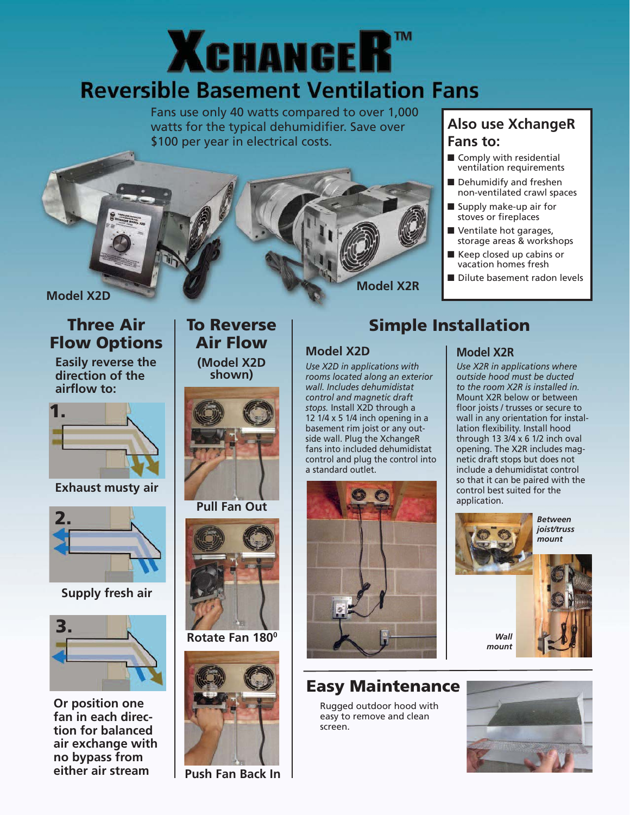# **XCHANGER™ Reversible Basement Ventilation Fans**

Fans use only 40 watts compared to over 1,000 watts for the typical dehumidifier. Save over \$100 per year in electrical costs.

![](_page_2_Picture_2.jpeg)

#### **Also use XchangeR Fans to:**

- Comply with residential ventilation requirements
- Dehumidify and freshen non-ventilated crawl spaces
- Supply make-up air for stoves or fireplaces
- Ventilate hot garages, storage areas & workshops
- Keep closed up cabins or vacation homes fresh
- Dilute basement radon levels

#### **Three Air Flow Options**

**Easily reverse the direction of the airflow to:**

![](_page_2_Picture_12.jpeg)

**Exhaust musty air**

![](_page_2_Picture_14.jpeg)

**Supply fresh air**

![](_page_2_Picture_16.jpeg)

**Or position one fan in each direction for balanced air exchange with no bypass from either air stream**

### **To Reverse Air Flow**

**(Model X2D shown)**

![](_page_2_Picture_20.jpeg)

**Pull Fan Out**

![](_page_2_Picture_22.jpeg)

**Rotate Fan 1800**

![](_page_2_Picture_24.jpeg)

**Push Fan Back In**

## **Simple Installation**

#### **Model X2D**

*Use X2D in applications with rooms located along an exterior wall. Includes dehumidistat control and magnetic draft stops.* Install X2D through a 12 1/4 x 5 1/4 inch opening in a basement rim joist or any outside wall. Plug the XchangeR fans into included dehumidistat control and plug the control into a standard outlet.

![](_page_2_Picture_29.jpeg)

### **Easy Maintenance**

Rugged outdoor hood with easy to remove and clean screen.

#### **Model X2R**

*Use X2R in applications where outside hood must be ducted to the room X2R is installed in.* Mount X2R below or between floor joists / trusses or secure to wall in any orientation for installation flexibility. Install hood through 13  $3/4 \times 6$  1/2 inch oval opening. The X2R includes magnetic draft stops but does not include a dehumidistat control so that it can be paired with the control best suited for the application.

![](_page_2_Picture_34.jpeg)

![](_page_2_Picture_35.jpeg)